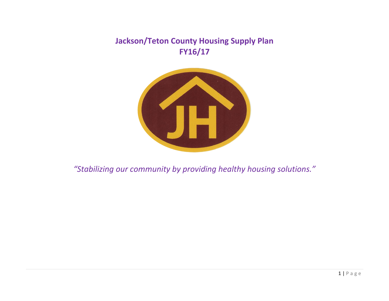**Jackson/Teton County Housing Supply Plan FY16/17**



*"Stabilizing our community by providing healthy housing solutions."*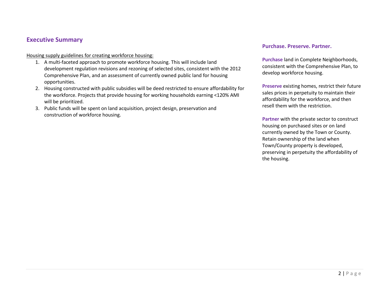#### **Executive Summary**

Housing supply guidelines for creating workforce housing:

- 1. A multi-faceted approach to promote workforce housing. This will include land development regulation revisions and rezoning of selected sites, consistent with the 2012 Comprehensive Plan, and an assessment of currently owned public land for housing opportunities.
- 2. Housing constructed with public subsidies will be deed restricted to ensure affordability for the workforce. Projects that provide housing for working households earning <120% AMI will be prioritized.
- 3. Public funds will be spent on land acquisition, project design, preservation and construction of workforce housing.

#### **Purchase. Preserve. Partner.**

**Purchase** land in Complete Neighborhoods, consistent with the Comprehensive Plan, to develop workforce housing.

**Preserve** existing homes, restrict their future sales prices in perpetuity to maintain their affordability for the workforce, and then resell them with the restriction.

**Partner** with the private sector to construct housing on purchased sites or on land currently owned by the Town or County. Retain ownership of the land when Town/County property is developed, preserving in perpetuity the affordability of the housing.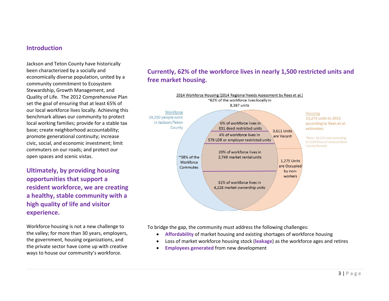#### **Introduction**

Jackson and Teton County have historically been characterized by a socially and economically diverse population, united by a community commitment to Ecosystem Stewardship, Growth Management, and Quality of Life. The 2012 Comprehensive Plan set the goal of ensuring that at least 65% of our local workforce lives locally. Achieving this benchmark allows our community to protect local working families; provide for a stable tax base; create neighborhood accountability; promote generational continuity; increase civic, social, and economic investment; limit commuters on our roads; and protect our open spaces and scenic vistas.

**Ultimately, by providing housing opportunities that support a resident workforce, we are creating a healthy, stable community with a high quality of life and visitor experience.**

Workforce housing is not a new challenge to the valley; for more than 30 years, employers, the government, housing organizations, and the private sector have come up with creative ways to house our community's workforce.

# **Currently, 62% of the workforce lives in nearly 1,500 restricted units and free market housing.**



To bridge the gap, the community must address the following challenges:

- **Affordability** of market housing and existing shortages of workforce housing
- Loss of market workforce housing stock (**leakage**) as the workforce ages and retires
- **Employees generated** from new development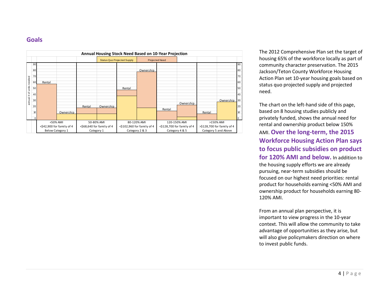## **Goals**



The 2012 Comprehensive Plan set the target of housing 65% of the workforce locally as part of community character preservation. The 2015 Jackson/Teton County Workforce Housing Action Plan set 10 -year housing goals based on status quo projected supply and projected need.

The chart on the left -hand side of this page, based on 8 housing studies publicly and privately funded, shows the annual need for rental and ownership product below 150% AMI. Over the long-term, the 2015 **Workforce Housing Action Plan says to focus public subsidies on product for 120% AMI and below.** In addition to the housing supply efforts we are already pursuing, near -term subsidies should be focused on our highest need priorities: rental product for households earning <50% AMI and ownership product for households earning 80 - 120% AMI.

From an annual plan perspective, it is important to view progress in the 10 -year context. This will allow the community to take advantage of opportunities as they arise, but will also give policymakers direction on where to invest public funds.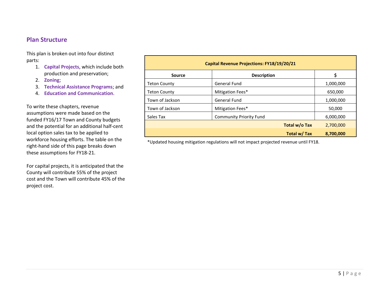### **Plan Structure**

This plan is broken out into four distinct parts:

- 1. **Capital Projects**, which include both production and preservation;
- 2. **Zoning**;
- 3. **Technical Assistance Programs**; and
- 4. **Education and Communication**.

To write these chapters, revenue assumptions were made based on the funded FY16/17 Town and County budgets and the potential for an additional half-cent local option sales tax to be applied to workforce housing efforts. The table on the right-hand side of this page breaks down these assumptions for FY18-21.

For capital projects, it is anticipated that the County will contribute 55% of the project cost and the Town will contribute 45% of the project cost.

| <b>Capital Revenue Projections: FY18/19/20/21</b> |                                |           |  |  |  |  |  |
|---------------------------------------------------|--------------------------------|-----------|--|--|--|--|--|
| <b>Source</b>                                     | <b>Description</b>             |           |  |  |  |  |  |
| <b>Teton County</b>                               | <b>General Fund</b>            | 1,000,000 |  |  |  |  |  |
| <b>Teton County</b>                               | Mitigation Fees*               | 650,000   |  |  |  |  |  |
| Town of Jackson                                   | <b>General Fund</b>            | 1,000,000 |  |  |  |  |  |
| Town of Jackson                                   | Mitigation Fees*               | 50,000    |  |  |  |  |  |
| Sales Tax                                         | <b>Community Priority Fund</b> | 6,000,000 |  |  |  |  |  |
|                                                   | Total w/o Tax                  | 2,700,000 |  |  |  |  |  |
|                                                   | Total w/ Tax                   | 8,700,000 |  |  |  |  |  |

\*Updated housing mitigation regulations will not impact projected revenue until FY18.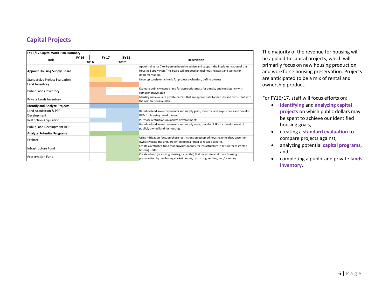# **Capital Projects**

| FY16/17 Capital Work Plan Summary     |                              |  |  |      |                                                                                                                                                                                             |  |  |  |  |
|---------------------------------------|------------------------------|--|--|------|---------------------------------------------------------------------------------------------------------------------------------------------------------------------------------------------|--|--|--|--|
| Task                                  | <b>FY 16</b><br><b>FY 17</b> |  |  | FY18 |                                                                                                                                                                                             |  |  |  |  |
|                                       | 2016                         |  |  | 2017 | <b>Description</b>                                                                                                                                                                          |  |  |  |  |
| <b>Appoint Housing Supply Board</b>   |                              |  |  |      | Appoint diverse 7 to 9-person board to advise and support the implementation of the<br>Housing Supply Plan. This board will propose annual housing goals and tactics for<br>implementation. |  |  |  |  |
| <b>Standardize Project Evaluation</b> |                              |  |  |      | Develop consistent criteria for project evaluation, define process                                                                                                                          |  |  |  |  |
| Land Inventory                        |                              |  |  |      |                                                                                                                                                                                             |  |  |  |  |
| Public Lands Inventory                |                              |  |  |      | Evaluate publicly owned land for appropriateness for density and consistency with<br>comprehensive plan                                                                                     |  |  |  |  |
| Private Lands Inventory               |                              |  |  |      | Identify and evaluate private parcels that are appropriate for density and consistent with<br>the comprehensive plan.                                                                       |  |  |  |  |
| <b>Identify and Analyze Projects</b>  |                              |  |  |      |                                                                                                                                                                                             |  |  |  |  |
| Land Acquisition & PPP                |                              |  |  |      | Based on land inventory results and supply goals, identify land acquisitions and develop                                                                                                    |  |  |  |  |
| Development                           |                              |  |  |      | RFPs for housing development.                                                                                                                                                               |  |  |  |  |
| <b>Restriction Acquisition</b>        |                              |  |  |      | Purchase restrictions in market developments.                                                                                                                                               |  |  |  |  |
| Public Land Development RFP           |                              |  |  |      | Based on land inventory results and supply goals, develop RFPs for development of<br>publicly owned land for housing.                                                                       |  |  |  |  |
| <b>Analyze Potential Programs</b>     |                              |  |  |      |                                                                                                                                                                                             |  |  |  |  |
| Feebate                               |                              |  |  |      | Using mitigation fees, purchase restrictions on occupied housing units that, once the<br>owners vacate the unit, are enforced in a rental or resale scenario.                               |  |  |  |  |
| Infrastructure Fund                   |                              |  |  |      | Create a restricted fund that provides money for infrastructure in return for restricted<br>housing units.                                                                                  |  |  |  |  |
| <b>Preservation Fund</b>              |                              |  |  |      | Create a fund (revolving, sinking, or capital) that invests in workforce housing<br>preservation by purchasing market homes, restricting, renting, and/or selling.                          |  |  |  |  |

The majority of the revenue for housing will be applied to capital projects, which will primarily focus on new housing production and workforce housing preservation. Projects are anticipated to be a mix of rental and ownership product.

For FY16/17, staff will focus efforts on:

- **identifying** and **analyzing capital projects** on which public dollars may be spent to achieve our identified housing goals,
- creating a **standard evaluation** to compare projects against,
- analyzing potential **capital programs**, and
- completing a public and private **lands inventory**.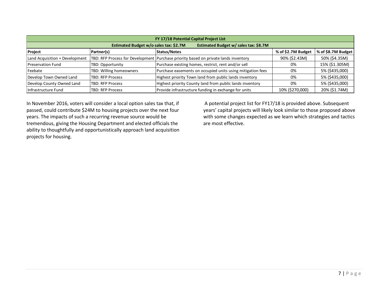| FY 17/18 Potential Capital Project List                                         |                         |                                                                                       |                    |                    |  |  |  |  |  |  |
|---------------------------------------------------------------------------------|-------------------------|---------------------------------------------------------------------------------------|--------------------|--------------------|--|--|--|--|--|--|
| Estimated Budget w/ sales tax: \$8.7M<br>Estimated Budget w/o sales tax: \$2.7M |                         |                                                                                       |                    |                    |  |  |  |  |  |  |
| Project                                                                         | Partner(s)              | Status/Notes                                                                          | % of \$2.7M Budget | % of \$8.7M Budget |  |  |  |  |  |  |
| Land Acquisition + Development                                                  |                         | TBD: RFP Process for Development   Purchase priority based on private lands inventory | 90% (\$2.43M)      | 50% (\$4.35M)      |  |  |  |  |  |  |
| <b>Preservation Fund</b>                                                        | TBD: Opportunity        | Purchase existing homes, restrict, rent and/or sell                                   | 0%                 | 15% (\$1.305M)     |  |  |  |  |  |  |
| Feebate                                                                         | TBD: Willing homeowners | Purchase easements on occupied units using mitigation fees                            | 0%                 | 5% (\$435,000)     |  |  |  |  |  |  |
| Develop Town Owned Land                                                         | <b>TBD: RFP Process</b> | Highest priority Town land from public lands inventory                                | 0%                 | 5% (\$435,000)     |  |  |  |  |  |  |
| Develop County Owned Land                                                       | <b>TBD: RFP Process</b> | Highest priority County land from public lands inventory                              | 0%                 | 5% (\$435,000)     |  |  |  |  |  |  |
| Infrastructure Fund                                                             | <b>TBD: RFP Process</b> | Provide infrastructure funding in exchange for units                                  | 10% (\$270,000)    | 20% (\$1.74M)      |  |  |  |  |  |  |

In November 2016, voters will consider a local option sales tax that, if passed, could contribute \$24M to housing projects over the next four years. The impacts of such a recurring revenue source would be tremendous, giving the Housing Department and elected officials the ability to thoughtfully and opportunistically approach land acquisition projects for housing.

A potential project list for FY17/18 is provided above. Subsequent years' capital projects will likely look similar to those proposed above with some changes expected as we learn which strategies and tactics are most effective.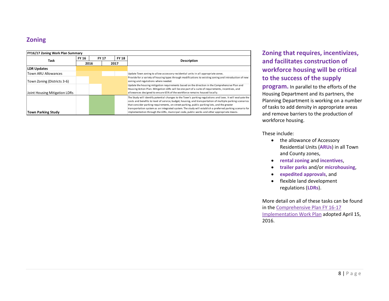# **Zoning**

| FY16/17 Zoning Work Plan Summary |              |              |      |                    |                                                                                                                                                                                                                                                                                                                                                                                                                                    |  |  |  |  |
|----------------------------------|--------------|--------------|------|--------------------|------------------------------------------------------------------------------------------------------------------------------------------------------------------------------------------------------------------------------------------------------------------------------------------------------------------------------------------------------------------------------------------------------------------------------------|--|--|--|--|
| Task                             | <b>FY 16</b> | <b>FY 17</b> |      | <b>FY 18</b>       |                                                                                                                                                                                                                                                                                                                                                                                                                                    |  |  |  |  |
|                                  | 2016         |              | 2017 | <b>Description</b> |                                                                                                                                                                                                                                                                                                                                                                                                                                    |  |  |  |  |
| <b>LDR Updates</b>               |              |              |      |                    |                                                                                                                                                                                                                                                                                                                                                                                                                                    |  |  |  |  |
| <b>Town ARU Allowances</b>       |              |              |      |                    | Update Town zoning to allow accessory residential units in all appropriate zones.                                                                                                                                                                                                                                                                                                                                                  |  |  |  |  |
| Town Zoning (Districts 3-6)      |              |              |      |                    | Provide for a variety of housing types through modifications to existing zoning and introduction of new<br>zoning and regulations where needed.                                                                                                                                                                                                                                                                                    |  |  |  |  |
| Joint Housing Mitigation LDRs    |              |              |      |                    | Update the housing mitigation requirements based on the direction in the Comprehensive Plan and<br>Housing Action Plan. Mitigation LDRs will be one part of a suite of requirements, incentives, and<br>allowances designed to ensure 65% of the workforce remains housed locally.                                                                                                                                                 |  |  |  |  |
|                                  |              |              |      |                    | The Study will identify potential changes to the Town's parking regulations and laws. It will evaluate the<br>costs and benefits to level of service, budget, housing, and transportation of multiple parking scenarios<br>that consider parking requirements, on-street parking, public parking lots, and the greater<br>transportation system as an integrated system. The study will establish a preferred parking scenario for |  |  |  |  |
| <b>Town Parking Study</b>        |              |              |      |                    | implementation through the LDRs, municipal code, public works and other appropriate means.                                                                                                                                                                                                                                                                                                                                         |  |  |  |  |

# **Zoning that requires, incentivizes, and facilitates construction of workforce housing will be critical to the success of the supply**

**program.** In parallel to the efforts of the Housing Department and its partners, the Planning Department is working on a number of tasks to add density in appropriate areas and remove barriers to the production of workforce housing.

These include:

- the allowance of Accessory Residential Units (**ARUs** ) in all Town and County zones ,
- **rental zoning** and **incentives**,
- **trailer parks** and/or **microhousing**,
- **expedited approvals**, and
- flexible land development regulations (**LDRs**).

More detail on all of these tasks can be found in the [Comprehensive Plan FY 16-17](http://www.tetonwyo.org/compplan/CompPlanAdmin/FY17WorkPlan.pdf)  [Implementation Work Plan](http://www.tetonwyo.org/compplan/CompPlanAdmin/FY17WorkPlan.pdf) adopted April 15, 2016.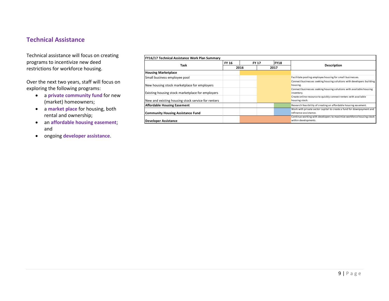## **Technical Assistance**

Technical assistance will focus on creating programs to incentivize new deed restrictions for workforce housing.

Over the next two years, staff will focus on exploring the following programs:

- a **private community fund** for new (market) homeowners;
- a **market place** for housing, both rental and ownership;
- an **affordable housing easement**; and
- ongoing **developer assistance**.

| FY16/17 Technical Assistance Work Plan Summary     |              |              |      |             |                                                                       |
|----------------------------------------------------|--------------|--------------|------|-------------|-----------------------------------------------------------------------|
|                                                    | <b>FY 16</b> | <b>FY 17</b> |      | <b>FY18</b> |                                                                       |
| Task                                               | 2016         |              | 2017 |             | <b>Description</b>                                                    |
| <b>Housing Marketplace</b>                         |              |              |      |             |                                                                       |
| Small business employee pool                       |              |              |      |             | Facilitate pooling employee housing for small businesses.             |
|                                                    |              |              |      |             | Connect businesses seeking housing solutions with developers building |
| New housing stock marketplace for employers        |              |              |      |             | housing.                                                              |
|                                                    |              |              |      |             | Connect businesses seeking housing solutions with available housing   |
| Existing housing stock marketplace for employers   |              |              |      |             | inventory.                                                            |
|                                                    |              |              |      |             | Create online resource to quickly connect renters with available      |
| New and existing housing stock service for renters |              |              |      |             | housing stock.                                                        |
| <b>Affordable Housing Easement</b>                 |              |              |      |             | Research feasibility of creating an affordable housing easement.      |
|                                                    |              |              |      |             | Work with private sector capital to create a fund for downpayment and |
| <b>Community Housing Assistance Fund</b>           |              |              |      |             | refinance assistance.                                                 |
|                                                    |              |              |      |             | Continue working with developers to maximize workforce housing stock  |
| Developer Assistance                               |              |              |      |             | within developments.                                                  |